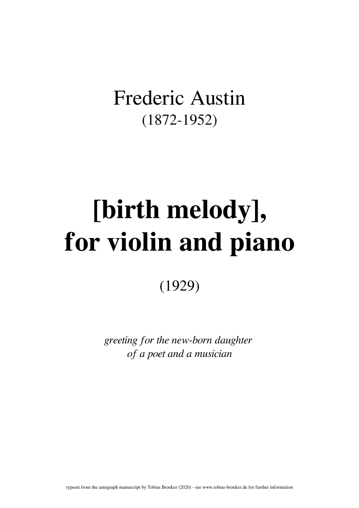## Frederic Austin (1872-1952)

## [birth melody], for violin and piano

(1929)

greeting for the new-born daughter of a poet and a musician